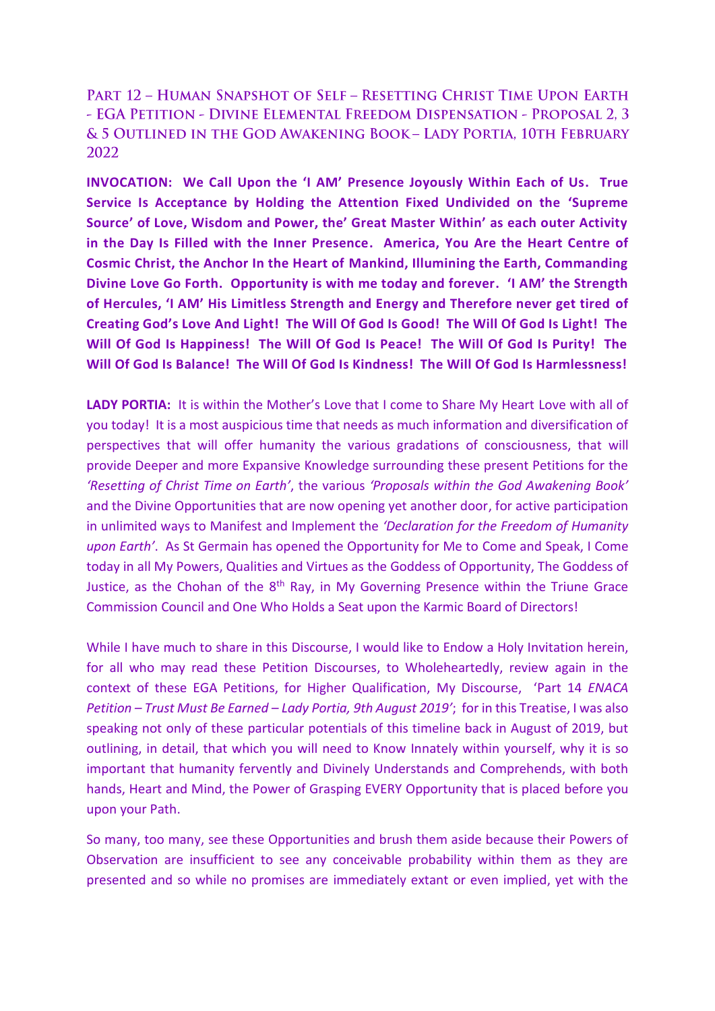PART 12 - HUMAN SNAPSHOT OF SELF - RESETTING CHRIST TIME UPON EARTH - EGA PETITION - DIVINE ELEMENTAL FREEDOM DISPENSATION - PROPOSAL 2, 3 & 5 OUTLINED IN THE GOD AWAKENING BOOK - LADY PORTIA. 10TH FEBRUARY 2022

**INVOCATION: We Call Upon the 'I AM' Presence Joyously Within Each of Us. True Service Is Acceptance by Holding the Attention Fixed Undivided on the 'Supreme Source' of Love, Wisdom and Power, the' Great Master Within' as each outer Activity in the Day Is Filled with the Inner Presence. America, You Are the Heart Centre of Cosmic Christ, the Anchor In the Heart of Mankind, Illumining the Earth, Commanding Divine Love Go Forth. Opportunity is with me today and forever. 'I AM' the Strength of Hercules, 'I AM' His Limitless Strength and Energy and Therefore never get tired of Creating God's Love And Light! The Will Of God Is Good! The Will Of God Is Light! The Will Of God Is Happiness! The Will Of God Is Peace! The Will Of God Is Purity! The Will Of God Is Balance! The Will Of God Is Kindness! The Will Of God Is Harmlessness!** 

**LADY PORTIA:** It is within the Mother's Love that I come to Share My Heart Love with all of you today! It is a most auspicious time that needs as much information and diversification of perspectives that will offer humanity the various gradations of consciousness, that will provide Deeper and more Expansive Knowledge surrounding these present Petitions for the *'Resetting of Christ Time on Earth'*, the various *'Proposals within the God Awakening Book'* and the Divine Opportunities that are now opening yet another door, for active participation in unlimited ways to Manifest and Implement the *'Declaration for the Freedom of Humanity upon Earth'*. As St Germain has opened the Opportunity for Me to Come and Speak, I Come today in all My Powers, Qualities and Virtues as the Goddess of Opportunity, The Goddess of Justice, as the Chohan of the  $8<sup>th</sup>$  Ray, in My Governing Presence within the Triune Grace Commission Council and One Who Holds a Seat upon the Karmic Board of Directors!

While I have much to share in this Discourse, I would like to Endow a Holy Invitation herein, for all who may read these Petition Discourses, to Wholeheartedly, review again in the context of these EGA Petitions, for Higher Qualification, My Discourse, 'Part 14 *ENACA Petition – Trust Must Be Earned – Lady Portia, 9th August 2019'*; for in this Treatise, I was also speaking not only of these particular potentials of this timeline back in August of 2019, but outlining, in detail, that which you will need to Know Innately within yourself, why it is so important that humanity fervently and Divinely Understands and Comprehends, with both hands, Heart and Mind, the Power of Grasping EVERY Opportunity that is placed before you upon your Path.

So many, too many, see these Opportunities and brush them aside because their Powers of Observation are insufficient to see any conceivable probability within them as they are presented and so while no promises are immediately extant or even implied, yet with the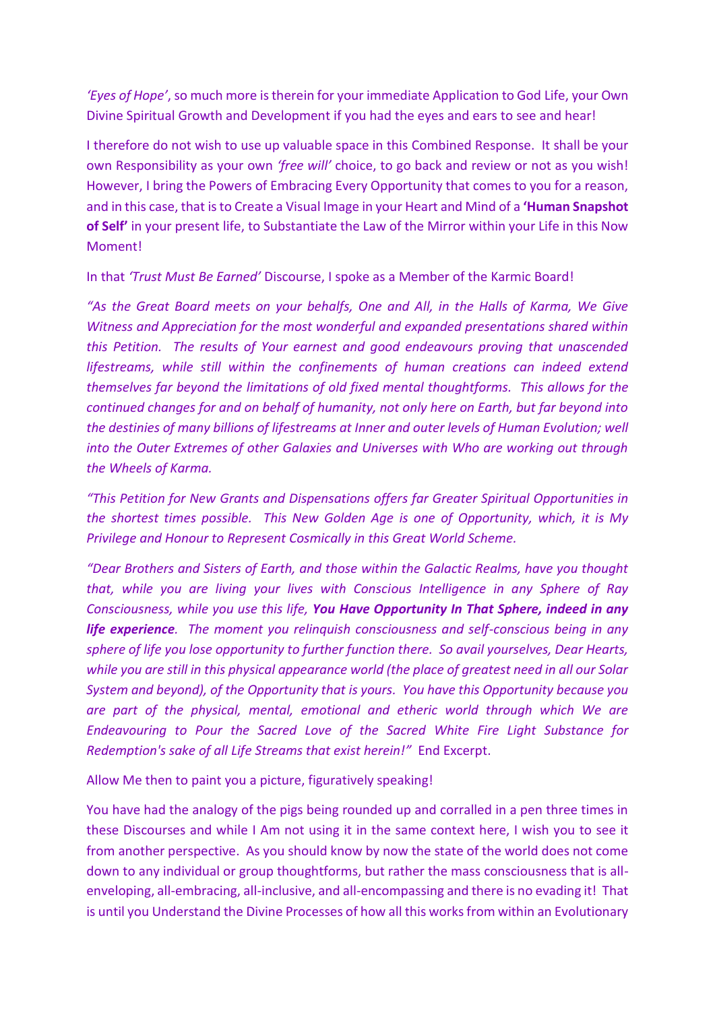*'Eyes of Hope'*, so much more is therein for your immediate Application to God Life, your Own Divine Spiritual Growth and Development if you had the eyes and ears to see and hear!

I therefore do not wish to use up valuable space in this Combined Response. It shall be your own Responsibility as your own *'free will'* choice, to go back and review or not as you wish! However, I bring the Powers of Embracing Every Opportunity that comes to you for a reason, and in this case, that is to Create a Visual Image in your Heart and Mind of a **'Human Snapshot of Self'** in your present life, to Substantiate the Law of the Mirror within your Life in this Now Moment!

In that *'Trust Must Be Earned'* Discourse, I spoke as a Member of the Karmic Board!

*"As the Great Board meets on your behalfs, One and All, in the Halls of Karma, We Give Witness and Appreciation for the most wonderful and expanded presentations shared within this Petition. The results of Your earnest and good endeavours proving that unascended lifestreams, while still within the confinements of human creations can indeed extend themselves far beyond the limitations of old fixed mental thoughtforms. This allows for the continued changes for and on behalf of humanity, not only here on Earth, but far beyond into the destinies of many billions of lifestreams at Inner and outer levels of Human Evolution; well into the Outer Extremes of other Galaxies and Universes with Who are working out through the Wheels of Karma.* 

*"This Petition for New Grants and Dispensations offers far Greater Spiritual Opportunities in the shortest times possible. This New Golden Age is one of Opportunity, which, it is My Privilege and Honour to Represent Cosmically in this Great World Scheme.* 

*"Dear Brothers and Sisters of Earth, and those within the Galactic Realms, have you thought that, while you are living your lives with Conscious Intelligence in any Sphere of Ray Consciousness, while you use this life, You Have Opportunity In That Sphere, indeed in any life experience. The moment you relinquish consciousness and self-conscious being in any sphere of life you lose opportunity to further function there. So avail yourselves, Dear Hearts, while you are still in this physical appearance world (the place of greatest need in all our Solar System and beyond), of the Opportunity that is yours. You have this Opportunity because you are part of the physical, mental, emotional and etheric world through which We are Endeavouring to Pour the Sacred Love of the Sacred White Fire Light Substance for Redemption's sake of all Life Streams that exist herein!"* End Excerpt.

Allow Me then to paint you a picture, figuratively speaking!

You have had the analogy of the pigs being rounded up and corralled in a pen three times in these Discourses and while I Am not using it in the same context here, I wish you to see it from another perspective. As you should know by now the state of the world does not come down to any individual or group thoughtforms, but rather the mass consciousness that is allenveloping, all-embracing, all-inclusive, and all-encompassing and there is no evading it! That is until you Understand the Divine Processes of how all this works from within an Evolutionary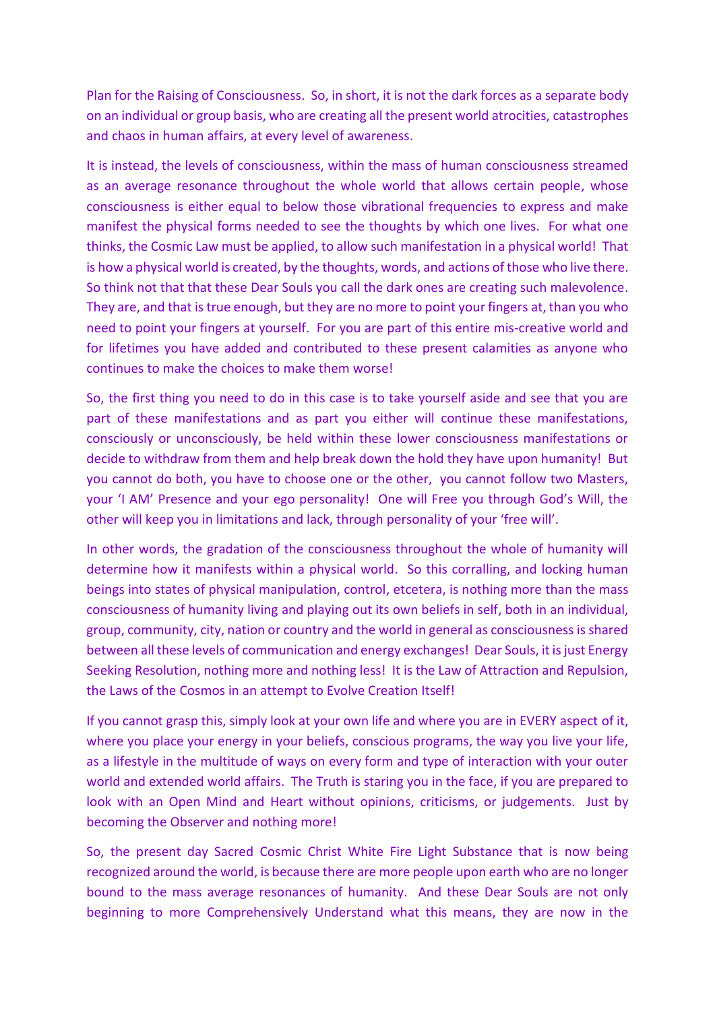Plan for the Raising of Consciousness. So, in short, it is not the dark forces as a separate body on an individual or group basis, who are creating all the present world atrocities, catastrophes and chaos in human affairs, at every level of awareness.

It is instead, the levels of consciousness, within the mass of human consciousness streamed as an average resonance throughout the whole world that allows certain people, whose consciousness is either equal to below those vibrational frequencies to express and make manifest the physical forms needed to see the thoughts by which one lives. For what one thinks, the Cosmic Law must be applied, to allow such manifestation in a physical world! That is how a physical world is created, by the thoughts, words, and actions of those who live there. So think not that that these Dear Souls you call the dark ones are creating such malevolence. They are, and that is true enough, but they are no more to point your fingers at, than you who need to point your fingers at yourself. For you are part of this entire mis-creative world and for lifetimes you have added and contributed to these present calamities as anyone who continues to make the choices to make them worse!

So, the first thing you need to do in this case is to take yourself aside and see that you are part of these manifestations and as part you either will continue these manifestations, consciously or unconsciously, be held within these lower consciousness manifestations or decide to withdraw from them and help break down the hold they have upon humanity! But you cannot do both, you have to choose one or the other, you cannot follow two Masters, your 'I AM' Presence and your ego personality! One will Free you through God's Will, the other will keep you in limitations and lack, through personality of your 'free will'.

In other words, the gradation of the consciousness throughout the whole of humanity will determine how it manifests within a physical world. So this corralling, and locking human beings into states of physical manipulation, control, etcetera, is nothing more than the mass consciousness of humanity living and playing out its own beliefs in self, both in an individual, group, community, city, nation or country and the world in general as consciousness is shared between all these levels of communication and energy exchanges! Dear Souls, it is just Energy Seeking Resolution, nothing more and nothing less! It is the Law of Attraction and Repulsion, the Laws of the Cosmos in an attempt to Evolve Creation Itself!

If you cannot grasp this, simply look at your own life and where you are in EVERY aspect of it, where you place your energy in your beliefs, conscious programs, the way you live your life, as a lifestyle in the multitude of ways on every form and type of interaction with your outer world and extended world affairs. The Truth is staring you in the face, if you are prepared to look with an Open Mind and Heart without opinions, criticisms, or judgements. Just by becoming the Observer and nothing more!

So, the present day Sacred Cosmic Christ White Fire Light Substance that is now being recognized around the world, is because there are more people upon earth who are no longer bound to the mass average resonances of humanity. And these Dear Souls are not only beginning to more Comprehensively Understand what this means, they are now in the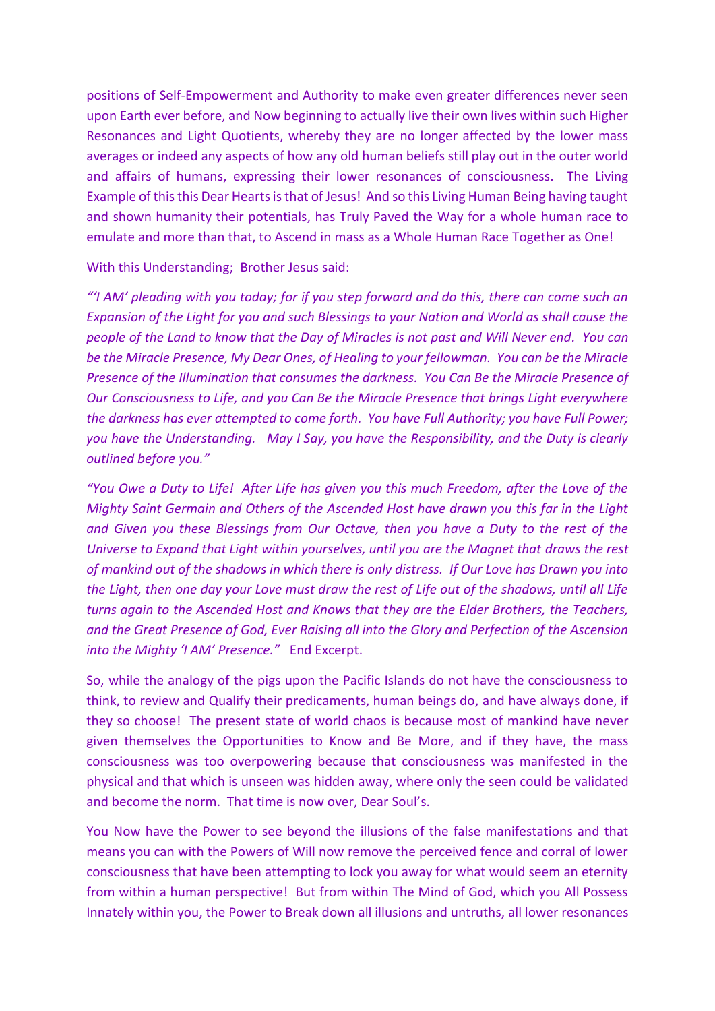positions of Self-Empowerment and Authority to make even greater differences never seen upon Earth ever before, and Now beginning to actually live their own lives within such Higher Resonances and Light Quotients, whereby they are no longer affected by the lower mass averages or indeed any aspects of how any old human beliefs still play out in the outer world and affairs of humans, expressing their lower resonances of consciousness. The Living Example of this this Dear Hearts is that of Jesus! And so this Living Human Being having taught and shown humanity their potentials, has Truly Paved the Way for a whole human race to emulate and more than that, to Ascend in mass as a Whole Human Race Together as One!

With this Understanding; Brother Jesus said:

*"'I AM' pleading with you today; for if you step forward and do this, there can come such an Expansion of the Light for you and such Blessings to your Nation and World as shall cause the people of the Land to know that the Day of Miracles is not past and Will Never end. You can be the Miracle Presence, My Dear Ones, of Healing to your fellowman. You can be the Miracle Presence of the Illumination that consumes the darkness. You Can Be the Miracle Presence of Our Consciousness to Life, and you Can Be the Miracle Presence that brings Light everywhere the darkness has ever attempted to come forth. You have Full Authority; you have Full Power; you have the Understanding. May I Say, you have the Responsibility, and the Duty is clearly outlined before you."* 

*"You Owe a Duty to Life! After Life has given you this much Freedom, after the Love of the Mighty Saint Germain and Others of the Ascended Host have drawn you this far in the Light and Given you these Blessings from Our Octave, then you have a Duty to the rest of the Universe to Expand that Light within yourselves, until you are the Magnet that draws the rest of mankind out of the shadows in which there is only distress. If Our Love has Drawn you into the Light, then one day your Love must draw the rest of Life out of the shadows, until all Life turns again to the Ascended Host and Knows that they are the Elder Brothers, the Teachers, and the Great Presence of God, Ever Raising all into the Glory and Perfection of the Ascension into the Mighty 'I AM' Presence."* End Excerpt.

So, while the analogy of the pigs upon the Pacific Islands do not have the consciousness to think, to review and Qualify their predicaments, human beings do, and have always done, if they so choose! The present state of world chaos is because most of mankind have never given themselves the Opportunities to Know and Be More, and if they have, the mass consciousness was too overpowering because that consciousness was manifested in the physical and that which is unseen was hidden away, where only the seen could be validated and become the norm. That time is now over, Dear Soul's.

You Now have the Power to see beyond the illusions of the false manifestations and that means you can with the Powers of Will now remove the perceived fence and corral of lower consciousness that have been attempting to lock you away for what would seem an eternity from within a human perspective! But from within The Mind of God, which you All Possess Innately within you, the Power to Break down all illusions and untruths, all lower resonances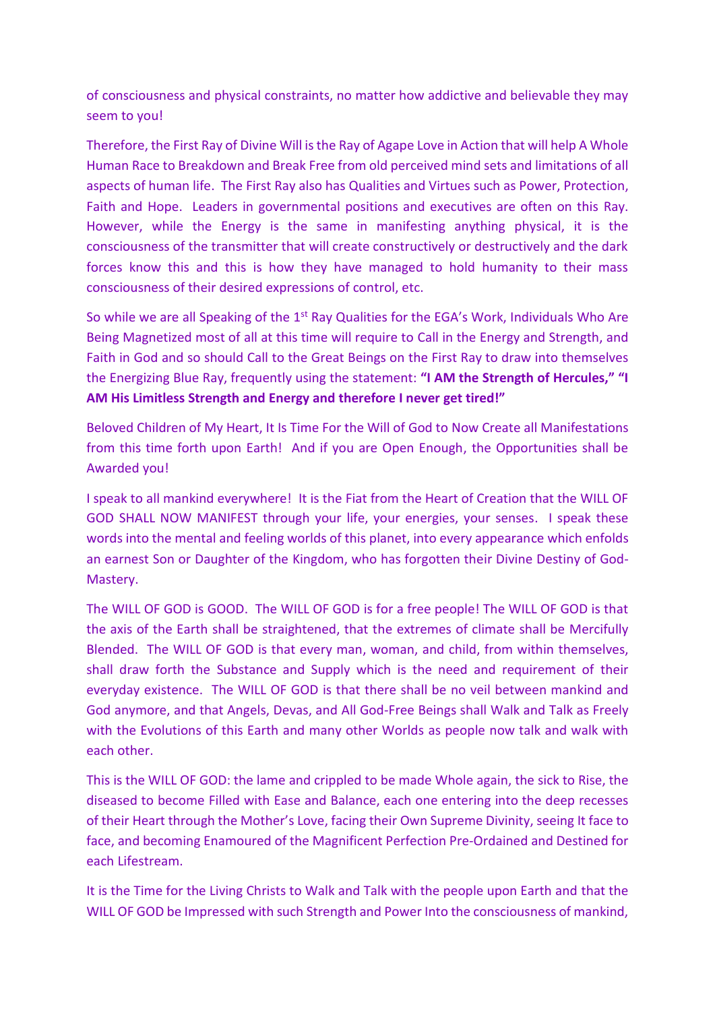of consciousness and physical constraints, no matter how addictive and believable they may seem to you!

Therefore, the First Ray of Divine Will is the Ray of Agape Love in Action that will help A Whole Human Race to Breakdown and Break Free from old perceived mind sets and limitations of all aspects of human life. The First Ray also has Qualities and Virtues such as Power, Protection, Faith and Hope. Leaders in governmental positions and executives are often on this Ray. However, while the Energy is the same in manifesting anything physical, it is the consciousness of the transmitter that will create constructively or destructively and the dark forces know this and this is how they have managed to hold humanity to their mass consciousness of their desired expressions of control, etc.

So while we are all Speaking of the 1<sup>st</sup> Ray Qualities for the EGA's Work, Individuals Who Are Being Magnetized most of all at this time will require to Call in the Energy and Strength, and Faith in God and so should Call to the Great Beings on the First Ray to draw into themselves the Energizing Blue Ray, frequently using the statement: **"I AM the Strength of Hercules," "I AM His Limitless Strength and Energy and therefore I never get tired!"**

Beloved Children of My Heart, It Is Time For the Will of God to Now Create all Manifestations from this time forth upon Earth! And if you are Open Enough, the Opportunities shall be Awarded you!

I speak to all mankind everywhere! It is the Fiat from the Heart of Creation that the WILL OF GOD SHALL NOW MANIFEST through your life, your energies, your senses. I speak these words into the mental and feeling worlds of this planet, into every appearance which enfolds an earnest Son or Daughter of the Kingdom, who has forgotten their Divine Destiny of God-Mastery.

The WILL OF GOD is GOOD. The WILL OF GOD is for a free people! The WILL OF GOD is that the axis of the Earth shall be straightened, that the extremes of climate shall be Mercifully Blended. The WILL OF GOD is that every man, woman, and child, from within themselves, shall draw forth the Substance and Supply which is the need and requirement of their everyday existence. The WILL OF GOD is that there shall be no veil between mankind and God anymore, and that Angels, Devas, and All God-Free Beings shall Walk and Talk as Freely with the Evolutions of this Earth and many other Worlds as people now talk and walk with each other.

This is the WILL OF GOD: the lame and crippled to be made Whole again, the sick to Rise, the diseased to become Filled with Ease and Balance, each one entering into the deep recesses of their Heart through the Mother's Love, facing their Own Supreme Divinity, seeing It face to face, and becoming Enamoured of the Magnificent Perfection Pre-Ordained and Destined for each Lifestream.

It is the Time for the Living Christs to Walk and Talk with the people upon Earth and that the WILL OF GOD be Impressed with such Strength and Power Into the consciousness of mankind,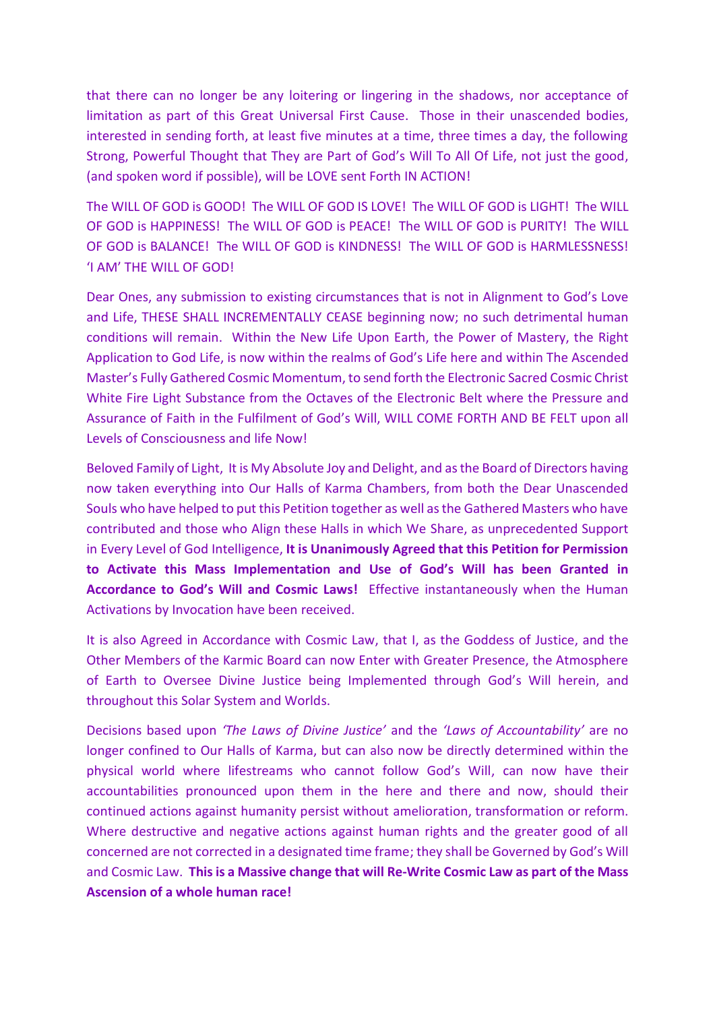that there can no longer be any loitering or lingering in the shadows, nor acceptance of limitation as part of this Great Universal First Cause. Those in their unascended bodies, interested in sending forth, at least five minutes at a time, three times a day, the following Strong, Powerful Thought that They are Part of God's Will To All Of Life, not just the good, (and spoken word if possible), will be LOVE sent Forth IN ACTION!

The WILL OF GOD is GOOD! The WILL OF GOD IS LOVE! The WILL OF GOD is LIGHT! The WILL OF GOD is HAPPINESS! The WILL OF GOD is PEACE! The WILL OF GOD is PURITY! The WILL OF GOD is BALANCE! The WILL OF GOD is KINDNESS! The WILL OF GOD is HARMLESSNESS! 'I AM' THE WILL OF GOD!

Dear Ones, any submission to existing circumstances that is not in Alignment to God's Love and Life, THESE SHALL INCREMENTALLY CEASE beginning now; no such detrimental human conditions will remain. Within the New Life Upon Earth, the Power of Mastery, the Right Application to God Life, is now within the realms of God's Life here and within The Ascended Master's Fully Gathered Cosmic Momentum, to send forth the Electronic Sacred Cosmic Christ White Fire Light Substance from the Octaves of the Electronic Belt where the Pressure and Assurance of Faith in the Fulfilment of God's Will, WILL COME FORTH AND BE FELT upon all Levels of Consciousness and life Now!

Beloved Family of Light, It is My Absolute Joy and Delight, and as the Board of Directors having now taken everything into Our Halls of Karma Chambers, from both the Dear Unascended Souls who have helped to put this Petition together as well as the Gathered Masters who have contributed and those who Align these Halls in which We Share, as unprecedented Support in Every Level of God Intelligence, **It is Unanimously Agreed that this Petition for Permission to Activate this Mass Implementation and Use of God's Will has been Granted in Accordance to God's Will and Cosmic Laws!** Effective instantaneously when the Human Activations by Invocation have been received.

It is also Agreed in Accordance with Cosmic Law, that I, as the Goddess of Justice, and the Other Members of the Karmic Board can now Enter with Greater Presence, the Atmosphere of Earth to Oversee Divine Justice being Implemented through God's Will herein, and throughout this Solar System and Worlds.

Decisions based upon *'The Laws of Divine Justice'* and the *'Laws of Accountability'* are no longer confined to Our Halls of Karma, but can also now be directly determined within the physical world where lifestreams who cannot follow God's Will, can now have their accountabilities pronounced upon them in the here and there and now, should their continued actions against humanity persist without amelioration, transformation or reform. Where destructive and negative actions against human rights and the greater good of all concerned are not corrected in a designated time frame; they shall be Governed by God's Will and Cosmic Law. **This is a Massive change that will Re-Write Cosmic Law as part of the Mass Ascension of a whole human race!**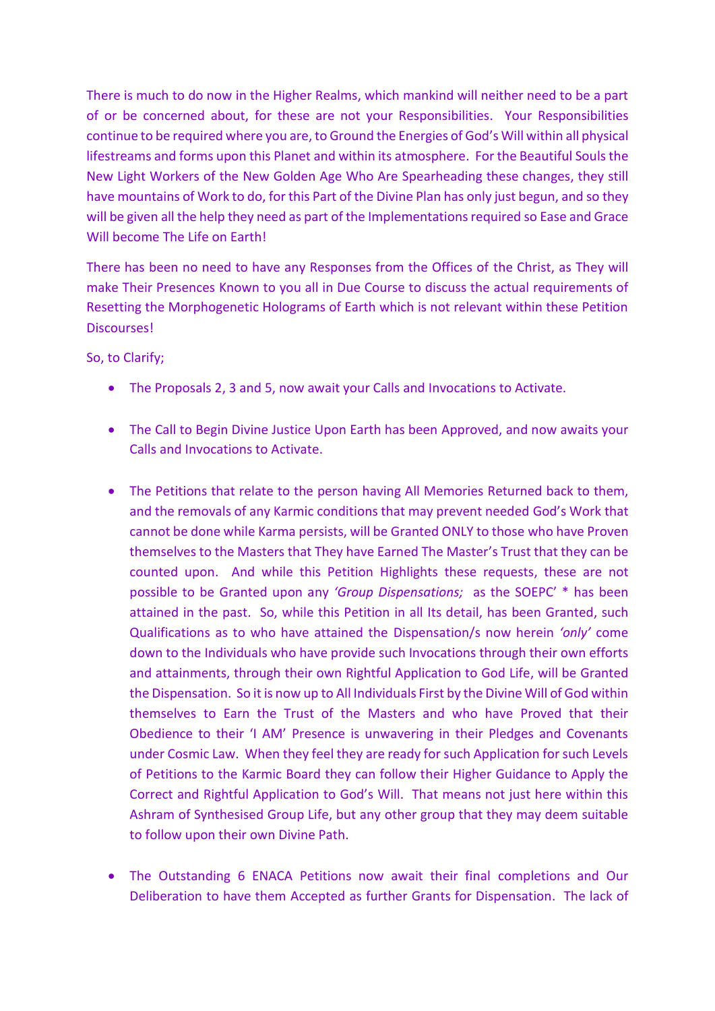There is much to do now in the Higher Realms, which mankind will neither need to be a part of or be concerned about, for these are not your Responsibilities. Your Responsibilities continue to be required where you are, to Ground the Energies of God's Will within all physical lifestreams and forms upon this Planet and within its atmosphere. For the Beautiful Souls the New Light Workers of the New Golden Age Who Are Spearheading these changes, they still have mountains of Work to do, for this Part of the Divine Plan has only just begun, and so they will be given all the help they need as part of the Implementations required so Ease and Grace Will become The Life on Earth!

There has been no need to have any Responses from the Offices of the Christ, as They will make Their Presences Known to you all in Due Course to discuss the actual requirements of Resetting the Morphogenetic Holograms of Earth which is not relevant within these Petition Discourses!

So, to Clarify;

- The Proposals 2, 3 and 5, now await your Calls and Invocations to Activate.
- The Call to Begin Divine Justice Upon Earth has been Approved, and now awaits your Calls and Invocations to Activate.
- The Petitions that relate to the person having All Memories Returned back to them, and the removals of any Karmic conditions that may prevent needed God's Work that cannot be done while Karma persists, will be Granted ONLY to those who have Proven themselves to the Masters that They have Earned The Master's Trust that they can be counted upon. And while this Petition Highlights these requests, these are not possible to be Granted upon any *'Group Dispensations;* as the SOEPC' \* has been attained in the past. So, while this Petition in all Its detail, has been Granted, such Qualifications as to who have attained the Dispensation/s now herein *'only'* come down to the Individuals who have provide such Invocations through their own efforts and attainments, through their own Rightful Application to God Life, will be Granted the Dispensation. So it is now up to All Individuals First by the Divine Will of God within themselves to Earn the Trust of the Masters and who have Proved that their Obedience to their 'I AM' Presence is unwavering in their Pledges and Covenants under Cosmic Law. When they feel they are ready for such Application for such Levels of Petitions to the Karmic Board they can follow their Higher Guidance to Apply the Correct and Rightful Application to God's Will. That means not just here within this Ashram of Synthesised Group Life, but any other group that they may deem suitable to follow upon their own Divine Path.
- The Outstanding 6 ENACA Petitions now await their final completions and Our Deliberation to have them Accepted as further Grants for Dispensation. The lack of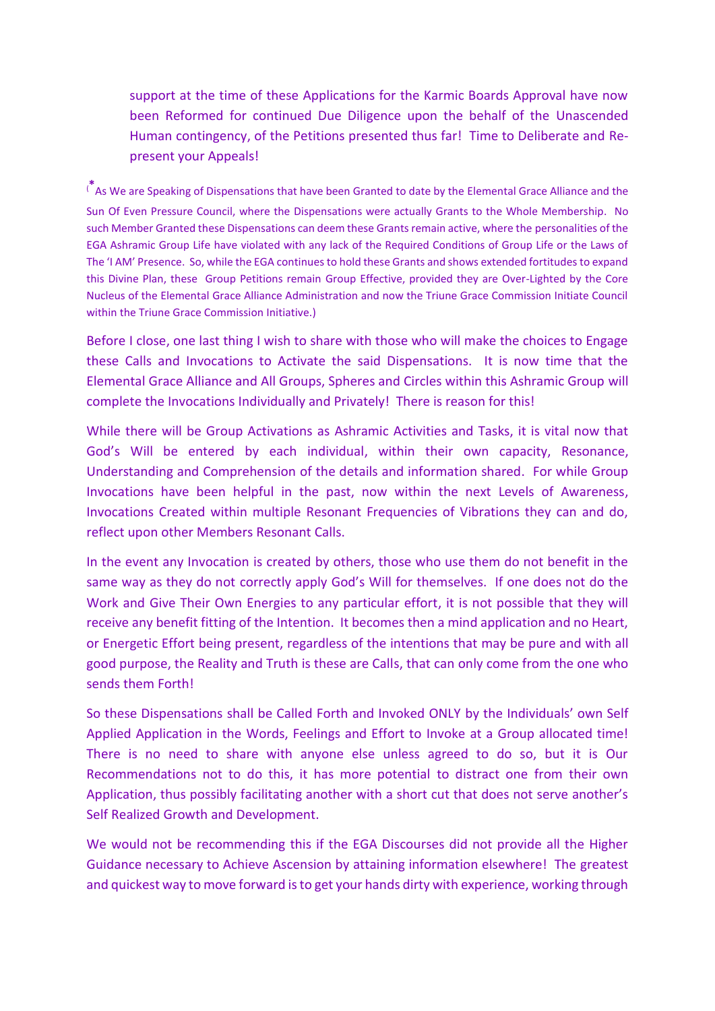support at the time of these Applications for the Karmic Boards Approval have now been Reformed for continued Due Diligence upon the behalf of the Unascended Human contingency, of the Petitions presented thus far! Time to Deliberate and Represent your Appeals!

(**\*** As We are Speaking of Dispensations that have been Granted to date by the Elemental Grace Alliance and the Sun Of Even Pressure Council, where the Dispensations were actually Grants to the Whole Membership. No such Member Granted these Dispensations can deem these Grants remain active, where the personalities of the EGA Ashramic Group Life have violated with any lack of the Required Conditions of Group Life or the Laws of The 'I AM' Presence. So, while the EGA continues to hold these Grants and shows extended fortitudes to expand this Divine Plan, these Group Petitions remain Group Effective, provided they are Over-Lighted by the Core Nucleus of the Elemental Grace Alliance Administration and now the Triune Grace Commission Initiate Council within the Triune Grace Commission Initiative.)

Before I close, one last thing I wish to share with those who will make the choices to Engage these Calls and Invocations to Activate the said Dispensations. It is now time that the Elemental Grace Alliance and All Groups, Spheres and Circles within this Ashramic Group will complete the Invocations Individually and Privately! There is reason for this!

While there will be Group Activations as Ashramic Activities and Tasks, it is vital now that God's Will be entered by each individual, within their own capacity, Resonance, Understanding and Comprehension of the details and information shared. For while Group Invocations have been helpful in the past, now within the next Levels of Awareness, Invocations Created within multiple Resonant Frequencies of Vibrations they can and do, reflect upon other Members Resonant Calls.

In the event any Invocation is created by others, those who use them do not benefit in the same way as they do not correctly apply God's Will for themselves. If one does not do the Work and Give Their Own Energies to any particular effort, it is not possible that they will receive any benefit fitting of the Intention. It becomes then a mind application and no Heart, or Energetic Effort being present, regardless of the intentions that may be pure and with all good purpose, the Reality and Truth is these are Calls, that can only come from the one who sends them Forth!

So these Dispensations shall be Called Forth and Invoked ONLY by the Individuals' own Self Applied Application in the Words, Feelings and Effort to Invoke at a Group allocated time! There is no need to share with anyone else unless agreed to do so, but it is Our Recommendations not to do this, it has more potential to distract one from their own Application, thus possibly facilitating another with a short cut that does not serve another's Self Realized Growth and Development.

We would not be recommending this if the EGA Discourses did not provide all the Higher Guidance necessary to Achieve Ascension by attaining information elsewhere! The greatest and quickest way to move forward is to get your hands dirty with experience, working through